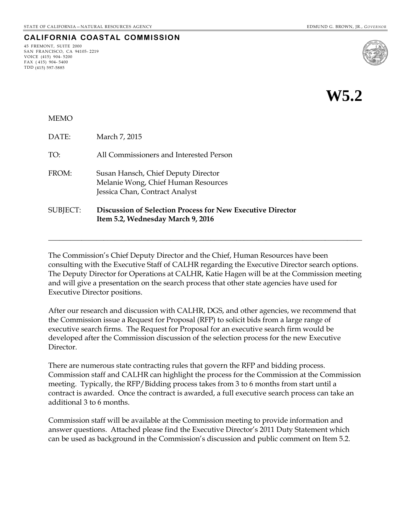# **CALIFORNIA COASTAL COMMISSION**

45 FREMONT, SUITE 2000 SAN FRANCISCO, CA 94105- 2219 VOICE (415) 904- 5200 FAX ( 415) 904- 5400 TDD (415) 597-5885



**W5.2** 

### MEMO

| SUBJECT: | <b>Discussion of Selection Process for New Executive Director</b><br>Item 5.2, Wednesday March 9, 2016       |
|----------|--------------------------------------------------------------------------------------------------------------|
| FROM:    | Susan Hansch, Chief Deputy Director<br>Melanie Wong, Chief Human Resources<br>Jessica Chan, Contract Analyst |
| TO:      | All Commissioners and Interested Person                                                                      |
| DATE:    | March 7, 2015                                                                                                |

The Commission's Chief Deputy Director and the Chief, Human Resources have been consulting with the Executive Staff of CALHR regarding the Executive Director search options. The Deputy Director for Operations at CALHR, Katie Hagen will be at the Commission meeting and will give a presentation on the search process that other state agencies have used for Executive Director positions.

\_\_\_\_\_\_\_\_\_\_\_\_\_\_\_\_\_\_\_\_\_\_\_\_\_\_\_\_\_\_\_\_\_\_\_\_\_\_\_\_\_\_\_\_\_\_\_\_\_\_\_\_\_\_\_\_\_\_\_\_\_\_\_\_\_\_\_\_\_\_\_\_\_\_\_\_\_\_\_\_\_\_\_\_\_

After our research and discussion with CALHR, DGS, and other agencies, we recommend that the Commission issue a Request for Proposal (RFP) to solicit bids from a large range of executive search firms. The Request for Proposal for an executive search firm would be developed after the Commission discussion of the selection process for the new Executive Director.

There are numerous state contracting rules that govern the RFP and bidding process. Commission staff and CALHR can highlight the process for the Commission at the Commission meeting. Typically, the RFP/Bidding process takes from 3 to 6 months from start until a contract is awarded. Once the contract is awarded, a full executive search process can take an additional 3 to 6 months.

Commission staff will be available at the Commission meeting to provide information and answer questions. Attached please find the Executive Director's 2011 Duty Statement which can be used as background in the Commission's discussion and public comment on Item 5.2.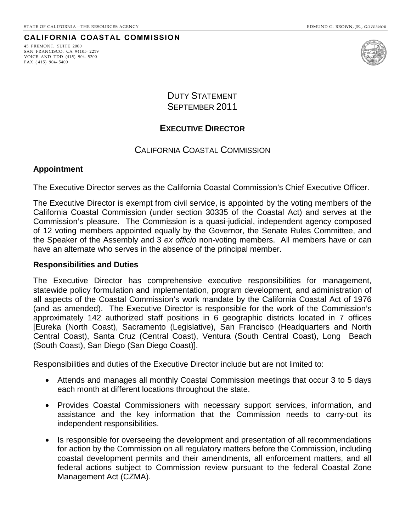### **CALIFORNIA COASTAL COMMISSION**

45 FREMONT, SUITE 2000 SAN FRANCISCO, CA 94105- 2219 VOICE AND TDD (415) 904- 5200 FAX ( 415) 904- 5400



DUTY STATEMENT SEPTEMBER 2011

## **EXECUTIVE DIRECTOR**

CALIFORNIA COASTAL COMMISSION

#### **Appointment**

The Executive Director serves as the California Coastal Commission's Chief Executive Officer.

The Executive Director is exempt from civil service, is appointed by the voting members of the California Coastal Commission (under section 30335 of the Coastal Act) and serves at the Commission's pleasure. The Commission is a quasi-judicial, independent agency composed of 12 voting members appointed equally by the Governor, the Senate Rules Committee, and the Speaker of the Assembly and 3 *ex officio* non-voting members. All members have or can have an alternate who serves in the absence of the principal member.

### **Responsibilities and Duties**

The Executive Director has comprehensive executive responsibilities for management, statewide policy formulation and implementation, program development, and administration of all aspects of the Coastal Commission's work mandate by the California Coastal Act of 1976 (and as amended). The Executive Director is responsible for the work of the Commission's approximately 142 authorized staff positions in 6 geographic districts located in 7 offices [Eureka (North Coast), Sacramento (Legislative), San Francisco (Headquarters and North Central Coast), Santa Cruz (Central Coast), Ventura (South Central Coast), Long Beach (South Coast), San Diego (San Diego Coast)].

Responsibilities and duties of the Executive Director include but are not limited to:

- Attends and manages all monthly Coastal Commission meetings that occur 3 to 5 days each month at different locations throughout the state.
- Provides Coastal Commissioners with necessary support services, information, and assistance and the key information that the Commission needs to carry-out its independent responsibilities.
- Is responsible for overseeing the development and presentation of all recommendations for action by the Commission on all regulatory matters before the Commission, including coastal development permits and their amendments, all enforcement matters, and all federal actions subject to Commission review pursuant to the federal Coastal Zone Management Act (CZMA).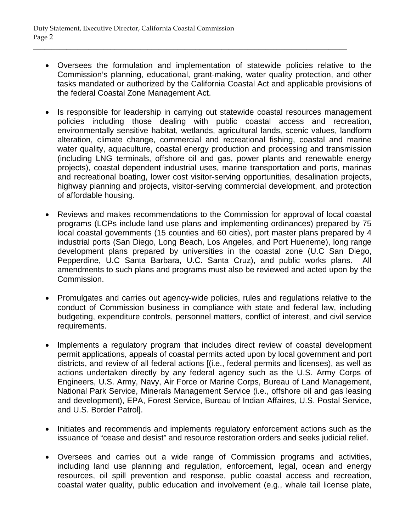• Oversees the formulation and implementation of statewide policies relative to the Commission's planning, educational, grant-making, water quality protection, and other tasks mandated or authorized by the California Coastal Act and applicable provisions of the federal Coastal Zone Management Act.

\_\_\_\_\_\_\_\_\_\_\_\_\_\_\_\_\_\_\_\_\_\_\_\_\_\_\_\_\_\_\_\_\_\_\_\_\_\_\_\_\_\_\_\_\_\_\_\_\_\_\_\_\_\_\_\_\_\_\_\_\_\_\_\_\_\_\_\_\_\_\_\_\_\_\_\_\_\_\_\_\_\_\_\_\_

- Is responsible for leadership in carrying out statewide coastal resources management policies including those dealing with public coastal access and recreation, environmentally sensitive habitat, wetlands, agricultural lands, scenic values, landform alteration, climate change, commercial and recreational fishing, coastal and marine water quality, aquaculture, coastal energy production and processing and transmission (including LNG terminals, offshore oil and gas, power plants and renewable energy projects), coastal dependent industrial uses, marine transportation and ports, marinas and recreational boating, lower cost visitor-serving opportunities, desalination projects, highway planning and projects, visitor-serving commercial development, and protection of affordable housing.
- Reviews and makes recommendations to the Commission for approval of local coastal programs (LCPs include land use plans and implementing ordinances) prepared by 75 local coastal governments (15 counties and 60 cities), port master plans prepared by 4 industrial ports (San Diego, Long Beach, Los Angeles, and Port Hueneme), long range development plans prepared by universities in the coastal zone (U.C San Diego, Pepperdine, U.C Santa Barbara, U.C. Santa Cruz), and public works plans. All amendments to such plans and programs must also be reviewed and acted upon by the Commission.
- Promulgates and carries out agency-wide policies, rules and regulations relative to the conduct of Commission business in compliance with state and federal law, including budgeting, expenditure controls, personnel matters, conflict of interest, and civil service requirements.
- Implements a regulatory program that includes direct review of coastal development permit applications, appeals of coastal permits acted upon by local government and port districts, and review of all federal actions [(i.e., federal permits and licenses), as well as actions undertaken directly by any federal agency such as the U.S. Army Corps of Engineers, U.S. Army, Navy, Air Force or Marine Corps, Bureau of Land Management, National Park Service, Minerals Management Service (i.e., offshore oil and gas leasing and development), EPA, Forest Service, Bureau of Indian Affaires, U.S. Postal Service, and U.S. Border Patrol].
- Initiates and recommends and implements regulatory enforcement actions such as the issuance of "cease and desist" and resource restoration orders and seeks judicial relief.
- Oversees and carries out a wide range of Commission programs and activities, including land use planning and regulation, enforcement, legal, ocean and energy resources, oil spill prevention and response, public coastal access and recreation, coastal water quality, public education and involvement (e.g., whale tail license plate,